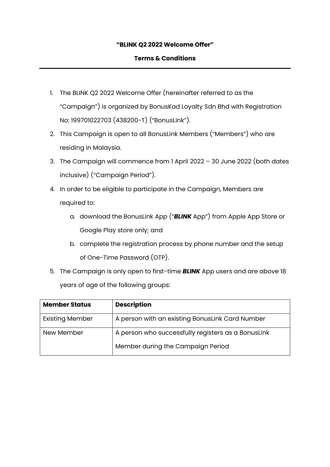# **"BLINK Q2 2022 Welcome Offer"**

# **Terms & Conditions**

- 1. The BLINK Q2 2022 Welcome Offer (hereinafter referred to as the "Campaign") is organized by BonusKad Loyalty Sdn Bhd with Registration No: 199701022703 (438200-T) ("BonusLink").
- 2. This Campaign is open to all BonusLink Members ("Members") who are residing in Malaysia.
- 3. The Campaign will commence from 1 April 2022 30 June 2022 (both dates inclusive) ("Campaign Period").
- 4. In order to be eligible to participate in the Campaign, Members are required to:
	- a. download the BonusLink App ("*BLINK* App") from Apple App Store or Google Play store only; and
	- b. complete the registration process by phone number and the setup of One-Time Password (OTP).
- 5. The Campaign is only open to first-time *BLINK* App users and are above 18 years of age of the following groups:

| <b>Member Status</b>   | <b>Description</b>                                 |
|------------------------|----------------------------------------------------|
| <b>Existing Member</b> | A person with an existing BonusLink Card Number    |
| New Member             | A person who successfully registers as a BonusLink |
|                        | Member during the Campaign Period                  |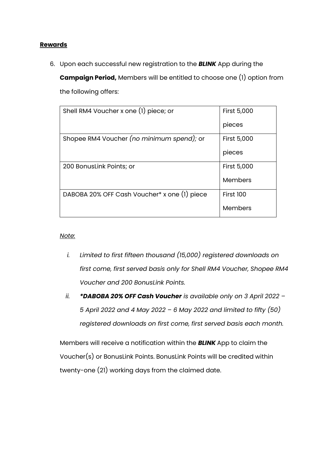#### **Rewards**

6. Upon each successful new registration to the *BLINK* App during the

**Campaign Period,** Members will be entitled to choose one (1) option from the following offers:

| Shell RM4 Voucher x one (1) piece; or        | <b>First 5,000</b> |
|----------------------------------------------|--------------------|
|                                              | pieces             |
| Shopee RM4 Voucher (no minimum spend); or    | <b>First 5,000</b> |
|                                              | pieces             |
| 200 BonusLink Points; or                     | <b>First 5,000</b> |
|                                              | Members            |
| DABOBA 20% OFF Cash Voucher* x one (1) piece | <b>First 100</b>   |
|                                              | Members            |

#### *Note:*

- *i. Limited to first fifteen thousand (15,000) registered downloads on first come, first served basis only for Shell RM4 Voucher, Shopee RM4 Voucher and 200 BonusLink Points.*
- *ii. \*DABOBA 20% OFF Cash Voucher is available only on 3 April 2022 – 5 April 2022 and 4 May 2022 – 6 May 2022 and limited to fifty (50) registered downloads on first come, first served basis each month.*

Members will receive a notification within the *BLINK* App to claim the Voucher(s) or BonusLink Points. BonusLink Points will be credited within twenty-one (21) working days from the claimed date.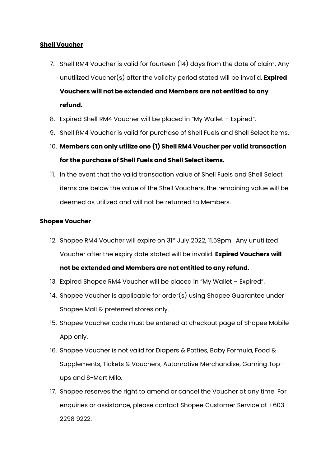# **Shell Voucher**

- 7. Shell RM4 Voucher is valid for fourteen (14) days from the date of claim. Any unutilized Voucher(s) after the validity period stated will be invalid. **Expired Vouchers will not be extended and Members are not entitled to any refund.**
- 8. Expired Shell RM4 Voucher will be placed in "My Wallet Expired".
- 9. Shell RM4 Voucher is valid for purchase of Shell Fuels and Shell Select items.
- 10. **Members can only utilize one (1) Shell RM4 Voucher per valid transaction for the purchase of Shell Fuels and Shell Select items.**
- 11. In the event that the valid transaction value of Shell Fuels and Shell Select items are below the value of the Shell Vouchers, the remaining value will be deemed as utilized and will not be returned to Members.

# **Shopee Voucher**

- 12. Shopee RM4 Voucher will expire on 31<sup>st</sup> July 2022, 11.59pm. Any unutilized Voucher after the expiry date stated will be invalid. **Expired Vouchers will not be extended and Members are not entitled to any refund.**
- 13. Expired Shopee RM4 Voucher will be placed in "My Wallet Expired".
- 14. Shopee Voucher is applicable for order(s) using Shopee Guarantee under Shopee Mall & preferred stores only.
- 15. Shopee Voucher code must be entered at checkout page of Shopee Mobile App only.
- 16. Shopee Voucher is not valid for Diapers & Potties, Baby Formula, Food & Supplements, Tickets & Vouchers, Automotive Merchandise, Gaming Topups and S-Mart Milo.
- 17. Shopee reserves the right to amend or cancel the Voucher at any time. For enquiries or assistance, please contact Shopee Customer Service at +603- 2298 9222.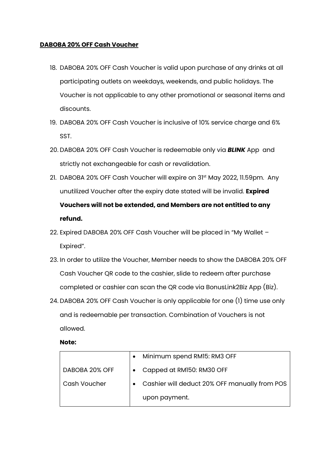## **DABOBA 20% OFF Cash Voucher**

- 18. DABOBA 20% OFF Cash Voucher is valid upon purchase of any drinks at all participating outlets on weekdays, weekends, and public holidays. The Voucher is not applicable to any other promotional or seasonal items and discounts.
- 19. DABOBA 20% OFF Cash Voucher is inclusive of 10% service charge and 6% SST.
- 20. DABOBA 20% OFF Cash Voucher is redeemable only via *BLINK* App and strictly not exchangeable for cash or revalidation.
- 21. DABOBA 20% OFF Cash Voucher will expire on 31st May 2022, 11.59pm. Any unutilized Voucher after the expiry date stated will be invalid. **Expired Vouchers will not be extended, and Members are not entitled to any refund.**
- 22. Expired DABOBA 20% OFF Cash Voucher will be placed in "My Wallet Expired".
- 23. In order to utilize the Voucher, Member needs to show the DABOBA 20% OFF Cash Voucher QR code to the cashier, slide to redeem after purchase completed or cashier can scan the QR code via BonusLink2Biz App (Biz).
- 24. DABOBA 20% OFF Cash Voucher is only applicable for one (1) time use only and is redeemable per transaction. Combination of Vouchers is not allowed.

**Note:**

|                | Minimum spend RM15: RM3 OFF                   |
|----------------|-----------------------------------------------|
| DABOBA 20% OFF | Capped at RM150: RM30 OFF                     |
| Cash Voucher   | Cashier will deduct 20% OFF manually from POS |
|                | upon payment.                                 |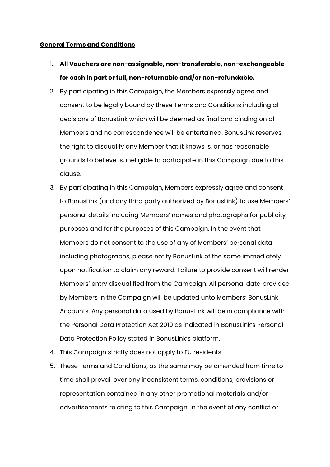#### **General Terms and Conditions**

- 1. **All Vouchers are non-assignable, non-transferable, non-exchangeable for cash in part or full, non-returnable and/or non-refundable.**
- 2. By participating in this Campaign, the Members expressly agree and consent to be legally bound by these Terms and Conditions including all decisions of BonusLink which will be deemed as final and binding on all Members and no correspondence will be entertained. BonusLink reserves the right to disqualify any Member that it knows is, or has reasonable grounds to believe is, ineligible to participate in this Campaign due to this clause.
- 3. By participating in this Campaign, Members expressly agree and consent to BonusLink (and any third party authorized by BonusLink) to use Members' personal details including Members' names and photographs for publicity purposes and for the purposes of this Campaign. In the event that Members do not consent to the use of any of Members' personal data including photographs, please notify BonusLink of the same immediately upon notification to claim any reward. Failure to provide consent will render Members' entry disqualified from the Campaign. All personal data provided by Members in the Campaign will be updated unto Members' BonusLink Accounts. Any personal data used by BonusLink will be in compliance with the Personal Data Protection Act 2010 as indicated in BonusLink's Personal Data Protection Policy stated in BonusLink's platform.
- 4. This Campaign strictly does not apply to EU residents.
- 5. These Terms and Conditions, as the same may be amended from time to time shall prevail over any inconsistent terms, conditions, provisions or representation contained in any other promotional materials and/or advertisements relating to this Campaign. In the event of any conflict or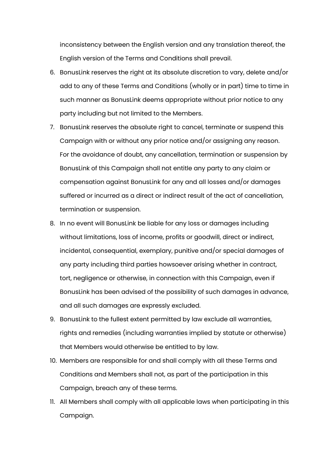inconsistency between the English version and any translation thereof, the English version of the Terms and Conditions shall prevail.

- 6. BonusLink reserves the right at its absolute discretion to vary, delete and/or add to any of these Terms and Conditions (wholly or in part) time to time in such manner as BonusLink deems appropriate without prior notice to any party including but not limited to the Members.
- 7. BonusLink reserves the absolute right to cancel, terminate or suspend this Campaign with or without any prior notice and/or assigning any reason. For the avoidance of doubt, any cancellation, termination or suspension by BonusLink of this Campaign shall not entitle any party to any claim or compensation against BonusLink for any and all losses and/or damages suffered or incurred as a direct or indirect result of the act of cancellation, termination or suspension.
- 8. In no event will BonusLink be liable for any loss or damages including without limitations, loss of income, profits or goodwill, direct or indirect, incidental, consequential, exemplary, punitive and/or special damages of any party including third parties howsoever arising whether in contract, tort, negligence or otherwise, in connection with this Campaign, even if BonusLink has been advised of the possibility of such damages in advance, and all such damages are expressly excluded.
- 9. BonusLink to the fullest extent permitted by law exclude all warranties, rights and remedies (including warranties implied by statute or otherwise) that Members would otherwise be entitled to by law.
- 10. Members are responsible for and shall comply with all these Terms and Conditions and Members shall not, as part of the participation in this Campaign, breach any of these terms.
- 11. All Members shall comply with all applicable laws when participating in this Campaign.